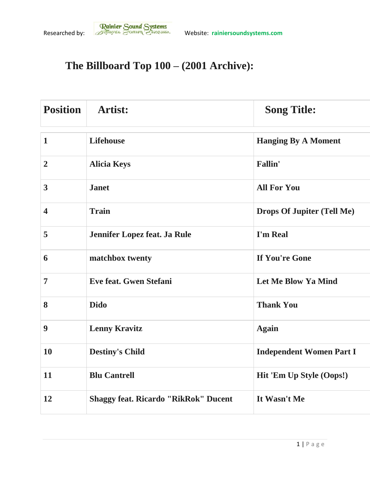## **The Billboard Top 100 – (2001 Archive):**

| <b>Position</b>         | <b>Artist:</b>                              | <b>Song Title:</b>                |
|-------------------------|---------------------------------------------|-----------------------------------|
| $\mathbf{1}$            | <b>Lifehouse</b>                            | <b>Hanging By A Moment</b>        |
| $\overline{2}$          | <b>Alicia Keys</b>                          | <b>Fallin'</b>                    |
| $\overline{3}$          | <b>Janet</b>                                | <b>All For You</b>                |
| $\overline{\mathbf{4}}$ | <b>Train</b>                                | <b>Drops Of Jupiter (Tell Me)</b> |
| 5                       | Jennifer Lopez feat. Ja Rule                | I'm Real                          |
| 6                       | matchbox twenty                             | If You're Gone                    |
| $\overline{7}$          | Eve feat. Gwen Stefani                      | <b>Let Me Blow Ya Mind</b>        |
| 8                       | <b>Dido</b>                                 | <b>Thank You</b>                  |
| 9                       | <b>Lenny Kravitz</b>                        | <b>Again</b>                      |
| <b>10</b>               | <b>Destiny's Child</b>                      | <b>Independent Women Part I</b>   |
| 11                      | <b>Blu Cantrell</b>                         | Hit 'Em Up Style (Oops!)          |
| 12                      | <b>Shaggy feat. Ricardo "RikRok" Ducent</b> | It Wasn't Me                      |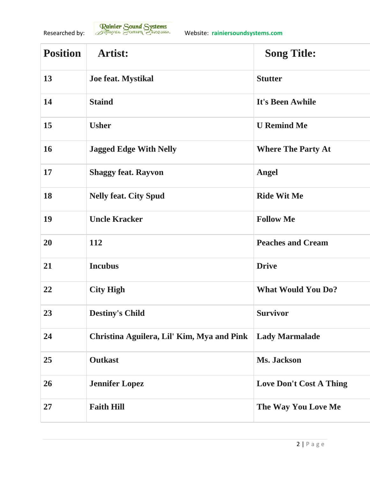

| <b>Position</b> | Artist:                                    | <b>Song Title:</b>             |
|-----------------|--------------------------------------------|--------------------------------|
| 13              | Joe feat. Mystikal                         | <b>Stutter</b>                 |
| 14              | <b>Staind</b>                              | It's Been Awhile               |
| 15              | <b>Usher</b>                               | <b>U</b> Remind Me             |
| 16              | <b>Jagged Edge With Nelly</b>              | <b>Where The Party At</b>      |
| 17              | <b>Shaggy feat. Rayvon</b>                 | <b>Angel</b>                   |
| 18              | <b>Nelly feat. City Spud</b>               | <b>Ride Wit Me</b>             |
| 19              | <b>Uncle Kracker</b>                       | <b>Follow Me</b>               |
| 20              | 112                                        | <b>Peaches and Cream</b>       |
| 21              | <b>Incubus</b>                             | <b>Drive</b>                   |
| 22              | <b>City High</b>                           | <b>What Would You Do?</b>      |
| 23              | <b>Destiny's Child</b>                     | <b>Survivor</b>                |
| 24              | Christina Aguilera, Lil' Kim, Mya and Pink | <b>Lady Marmalade</b>          |
| 25              | <b>Outkast</b>                             | Ms. Jackson                    |
| 26              | <b>Jennifer Lopez</b>                      | <b>Love Don't Cost A Thing</b> |
| 27              | <b>Faith Hill</b>                          | The Way You Love Me            |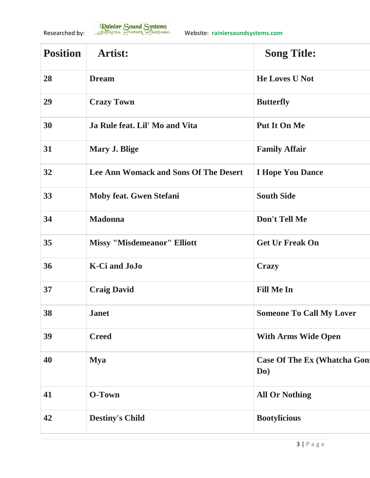

| <b>Position</b> | Artist:                                      | <b>Song Title:</b>                         |
|-----------------|----------------------------------------------|--------------------------------------------|
| 28              | <b>Dream</b>                                 | <b>He Loves U Not</b>                      |
| 29              | <b>Crazy Town</b>                            | <b>Butterfly</b>                           |
| 30              | Ja Rule feat. Lil' Mo and Vita               | <b>Put It On Me</b>                        |
| 31              | Mary J. Blige                                | <b>Family Affair</b>                       |
| 32              | <b>Lee Ann Womack and Sons Of The Desert</b> | <b>I Hope You Dance</b>                    |
| 33              | <b>Moby feat. Gwen Stefani</b>               | <b>South Side</b>                          |
| 34              | <b>Madonna</b>                               | Don't Tell Me                              |
| 35              | <b>Missy "Misdemeanor" Elliott</b>           | <b>Get Ur Freak On</b>                     |
| 36              | <b>K-Ci</b> and JoJo                         | <b>Crazy</b>                               |
| 37              | <b>Craig David</b>                           | <b>Fill Me In</b>                          |
| 38              | <b>Janet</b>                                 | <b>Someone To Call My Lover</b>            |
| 39              | <b>Creed</b>                                 | <b>With Arms Wide Open</b>                 |
| 40              | <b>Mya</b>                                   | <b>Case Of The Ex (Whatcha Gon)</b><br>Do) |
| 41              | O-Town                                       | <b>All Or Nothing</b>                      |
| 42              | <b>Destiny's Child</b>                       | <b>Bootylicious</b>                        |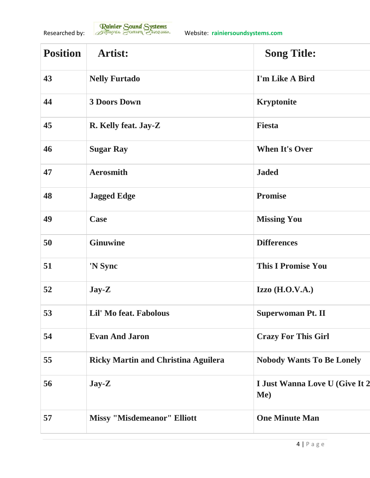

| <b>Position</b> | Artist:                                    | <b>Song Title:</b>                    |
|-----------------|--------------------------------------------|---------------------------------------|
| 43              | <b>Nelly Furtado</b>                       | I'm Like A Bird                       |
| 44              | <b>3 Doors Down</b>                        | <b>Kryptonite</b>                     |
| 45              | R. Kelly feat. Jay-Z                       | <b>Fiesta</b>                         |
| 46              | <b>Sugar Ray</b>                           | <b>When It's Over</b>                 |
| 47              | <b>Aerosmith</b>                           | <b>Jaded</b>                          |
| 48              | <b>Jagged Edge</b>                         | <b>Promise</b>                        |
| 49              | Case                                       | <b>Missing You</b>                    |
| 50              | <b>Ginuwine</b>                            | <b>Differences</b>                    |
| 51              | 'N Sync                                    | <b>This I Promise You</b>             |
| 52              | $\bf Jay-Z$                                | Izzo $(H.O.V.A.)$                     |
| 53              | Lil' Mo feat. Fabolous                     | <b>Superwoman Pt. II</b>              |
| 54              | <b>Evan And Jaron</b>                      | <b>Crazy For This Girl</b>            |
| 55              | <b>Ricky Martin and Christina Aguilera</b> | <b>Nobody Wants To Be Lonely</b>      |
| 56              | $\bf Jay-Z$                                | I Just Wanna Love U (Give It 2<br>Me) |
| 57              | <b>Missy "Misdemeanor" Elliott</b>         | <b>One Minute Man</b>                 |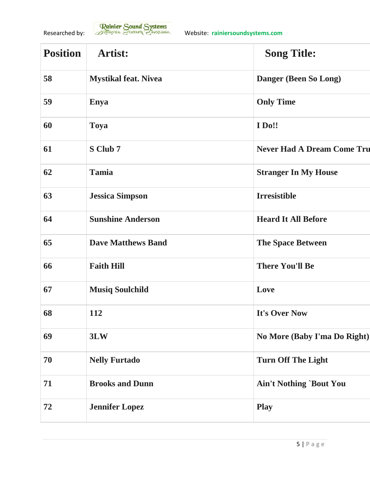

| <b>Position</b> | Artist:                     | <b>Song Title:</b>                |
|-----------------|-----------------------------|-----------------------------------|
| 58              | <b>Mystikal feat. Nivea</b> | Danger (Been So Long)             |
| 59              | <b>Enya</b>                 | <b>Only Time</b>                  |
| 60              | <b>Toya</b>                 | <b>I</b> Do!!                     |
| 61              | S Club 7                    | <b>Never Had A Dream Come Tru</b> |
| 62              | Tamia                       | <b>Stranger In My House</b>       |
| 63              | <b>Jessica Simpson</b>      | <b>Irresistible</b>               |
| 64              | <b>Sunshine Anderson</b>    | <b>Heard It All Before</b>        |
| 65              | <b>Dave Matthews Band</b>   | <b>The Space Between</b>          |
| 66              | <b>Faith Hill</b>           | <b>There You'll Be</b>            |
| 67              | <b>Musiq Soulchild</b>      | Love                              |
| 68              | <b>112</b>                  | It's Over Now                     |
| 69              | 3LW                         | No More (Baby I'ma Do Right)      |
| 70              | <b>Nelly Furtado</b>        | <b>Turn Off The Light</b>         |
| 71              | <b>Brooks and Dunn</b>      | <b>Ain't Nothing `Bout You</b>    |
| 72              | <b>Jennifer Lopez</b>       | <b>Play</b>                       |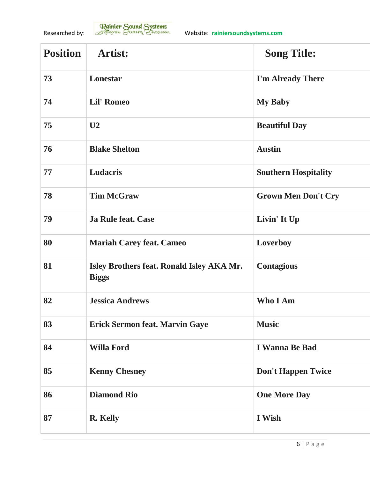

| <b>Position</b> | <b>Artist:</b>                                            | <b>Song Title:</b>          |
|-----------------|-----------------------------------------------------------|-----------------------------|
| 73              | Lonestar                                                  | I'm Already There           |
| 74              | <b>Lil' Romeo</b>                                         | <b>My Baby</b>              |
| 75              | U <sub>2</sub>                                            | <b>Beautiful Day</b>        |
| 76              | <b>Blake Shelton</b>                                      | <b>Austin</b>               |
| 77              | <b>Ludacris</b>                                           | <b>Southern Hospitality</b> |
| 78              | <b>Tim McGraw</b>                                         | <b>Grown Men Don't Cry</b>  |
| 79              | <b>Ja Rule feat. Case</b>                                 | Livin' It Up                |
| 80              | <b>Mariah Carey feat. Cameo</b>                           | Loverboy                    |
| 81              | Isley Brothers feat. Ronald Isley AKA Mr.<br><b>Biggs</b> | <b>Contagious</b>           |
| 82              | <b>Jessica Andrews</b>                                    | <b>Who I Am</b>             |
| 83              | <b>Erick Sermon feat. Marvin Gaye</b>                     | <b>Music</b>                |
| 84              | <b>Willa Ford</b>                                         | <b>I Wanna Be Bad</b>       |
| 85              | <b>Kenny Chesney</b>                                      | <b>Don't Happen Twice</b>   |
| 86              | <b>Diamond Rio</b>                                        | <b>One More Day</b>         |
| 87              | R. Kelly                                                  | I Wish                      |